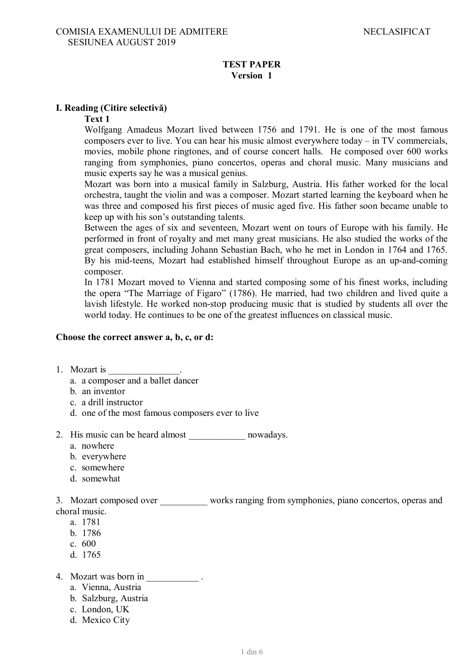#### **TEST PAPER Version 1**

### **I. Reading (Citire selectivă)**

### **Text 1**

Wolfgang Amadeus Mozart lived between 1756 and 1791. He is one of the most famous composers ever to live. You can hear his music almost everywhere today – in TV commercials, movies, mobile phone ringtones, and of course concert halls. He composed over 600 works ranging from symphonies, piano concertos, operas and choral music. Many musicians and music experts say he was a musical genius.

Mozart was born into a musical family in Salzburg, Austria. His father worked for the local orchestra, taught the violin and was a composer. Mozart started learning the keyboard when he was three and composed his first pieces of music aged five. His father soon became unable to keep up with his son's outstanding talents.

Between the ages of six and seventeen, Mozart went on tours of Europe with his family. He performed in front of royalty and met many great musicians. He also studied the works of the great composers, including Johann Sebastian Bach, who he met in London in 1764 and 1765. By his mid-teens, Mozart had established himself throughout Europe as an up-and-coming composer.

In 1781 Mozart moved to Vienna and started composing some of his finest works, including the opera "The Marriage of Figaro" (1786). He married, had two children and lived quite a lavish lifestyle. He worked non-stop producing music that is studied by students all over the world today. He continues to be one of the greatest influences on classical music.

#### **Choose the correct answer a, b, c, or d:**

- 1. Mozart is
	- a. a composer and a ballet dancer
	- b. an inventor
	- c. a drill instructor
	- d. one of the most famous composers ever to live
- 2. His music can be heard almost \_\_\_\_\_\_\_\_\_\_\_\_\_ nowadays.
	- a. nowhere
	- b. everywhere
	- c. somewhere
	- d. somewhat

3. Mozart composed over works ranging from symphonies, piano concertos, operas and choral music.

- a. 1781
- b. 1786
- c. 600
- d. 1765
- 4. Mozart was born in \_\_\_\_\_\_\_\_\_\_\_ .
	- a. Vienna, Austria
	- b. Salzburg, Austria
	- c. London, UK
	- d. Mexico City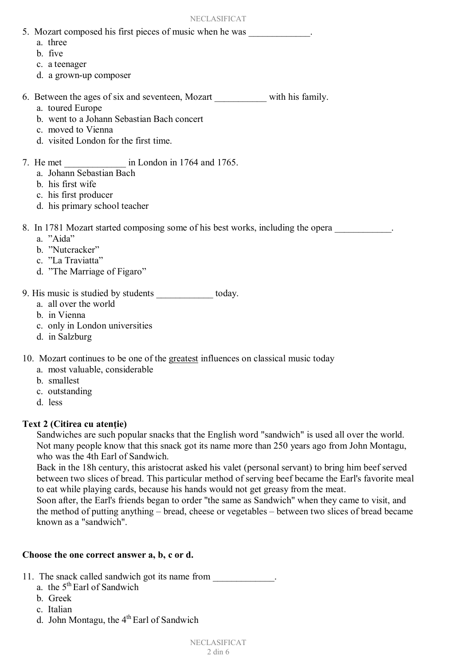- 5. Mozart composed his first pieces of music when he was
	- a. three
	- b. five
	- c. a teenager
	- d. a grown-up composer
- 6. Between the ages of six and seventeen, Mozart with his family.
	- a. toured Europe
	- b. went to a Johann Sebastian Bach concert
	- c. moved to Vienna
	- d. visited London for the first time.
- 7. He met \_\_\_\_\_\_\_\_\_\_\_\_\_ in London in 1764 and 1765.
	- a. Johann Sebastian Bach
	- b. his first wife
	- c. his first producer
	- d. his primary school teacher

8. In 1781 Mozart started composing some of his best works, including the opera

- a. "Aida"
- b. "Nutcracker"
- c. "La Traviatta"
- d. "The Marriage of Figaro"
- 9. His music is studied by students today.
	- a. all over the world
	- b. in Vienna
	- c. only in London universities
	- d. in Salzburg

10. Mozart continues to be one of the greatest influences on classical music today

- a. most valuable, considerable
- b. smallest
- c. outstanding
- d. less

### **Text 2 (Citirea cu atenţie)**

Sandwiches are such popular snacks that the English word "sandwich" is used all over the world. Not many people know that this snack got its name more than 250 years ago from John Montagu, who was the 4th Earl of Sandwich.

Back in the 18h century, this aristocrat asked his valet (personal servant) to bring him beef served between two slices of bread. This particular method of serving beef became the Earl's favorite meal to eat while playing cards, because his hands would not get greasy from the meat.

Soon after, the Earl's friends began to order "the same as Sandwich" when they came to visit, and the method of putting anything – bread, cheese or vegetables – between two slices of bread became known as a "sandwich".

### **Choose the one correct answer a, b, c or d.**

- 11. The snack called sandwich got its name from
	- a. the 5<sup>th</sup> Earl of Sandwich
	- b. Greek
	- c. Italian
	- d. John Montagu, the  $4<sup>th</sup>$  Earl of Sandwich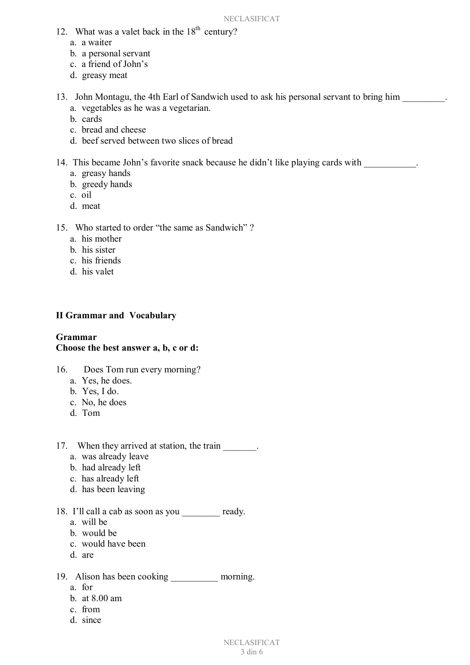- 12. What was a valet back in the  $18<sup>th</sup>$  century?
	- a. a waiter
	- b. a personal servant
	- c. a friend of John's
	- d. greasy meat
- 13. John Montagu, the 4th Earl of Sandwich used to ask his personal servant to bring him a. vegetables as he was a vegetarian.
	- b. cards
	- c. bread and cheese
	- d. beef served between two slices of bread
- 14. This became John's favorite snack because he didn't like playing cards with  $\blacksquare$ .
	- a. greasy hands
	- b. greedy hands
	- c. oil
	- d. meat
- 15. Who started to order "the same as Sandwich" ?
	- a. his mother
	- b. his sister
	- c. his friends
	- d. his valet

### **II Grammar and Vocabulary**

#### **Grammar Choose the best answer a, b, c or d:**

- 16. Does Tom run every morning?
	- a. Yes, he does.
	- b. Yes, I do.
	- c. No, he does
	- d. Tom
- 17. When they arrived at station, the train
	- a. was already leave
	- b. had already left
	- c. has already left
	- d. has been leaving

### 18. I'll call a cab as soon as you \_\_\_\_\_\_\_\_ ready.

- a. will be
- b. would be
- c. would have been
- d. are

19. Alison has been cooking morning.

- a. for
- b. at 8.00 am
- c. from
- d. since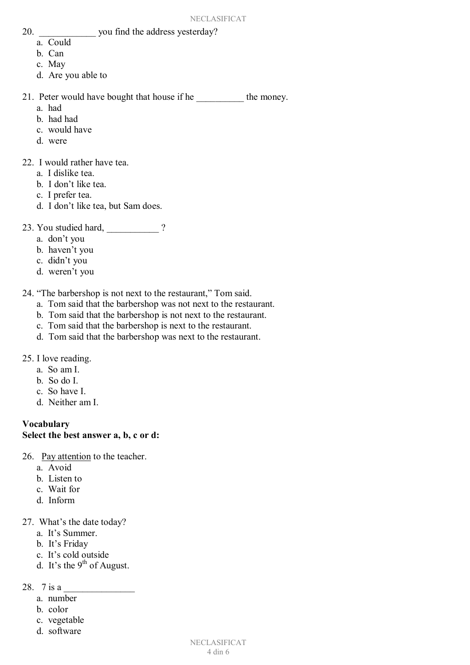- 20. \_\_\_\_\_\_\_\_\_\_\_\_ you find the address yesterday?
	- a. Could
	- b. Can
	- c. May
	- d. Are you able to

21. Peter would have bought that house if he \_\_\_\_\_\_\_\_\_\_\_ the money.

- a. had
- b. had had
- c. would have
- d. were

22. I would rather have tea.

- a. I dislike tea.
- b. I don't like tea.
- c. I prefer tea.
- d. I don't like tea, but Sam does.
- 23. You studied hard,  $\frac{1}{2}$  ?
	- a. don't you
	- b. haven't you
	- c. didn't you
	- d. weren't you

24. "The barbershop is not next to the restaurant," Tom said.

- a. Tom said that the barbershop was not next to the restaurant.
- b. Tom said that the barbershop is not next to the restaurant.
- c. Tom said that the barbershop is next to the restaurant.
- d. Tom said that the barbershop was next to the restaurant.
- 25. I love reading.
	- a. So am I.
	- b. So do I.
	- c. So have I.
	- d. Neither am I.

# **Vocabulary**

### **Select the best answer a, b, c or d:**

- 26. Pay attention to the teacher.
	- a. Avoid
	- b. Listen to
	- c. Wait for
	- d. Inform
- 27. What's the date today?
	- a. It's Summer.
	- b. It's Friday
	- c. It's cold outside
	- d. It's the 9<sup>th</sup> of August.
- 28.  $7$  is a
	- a. number
	- b. color
	- c. vegetable
	- d. software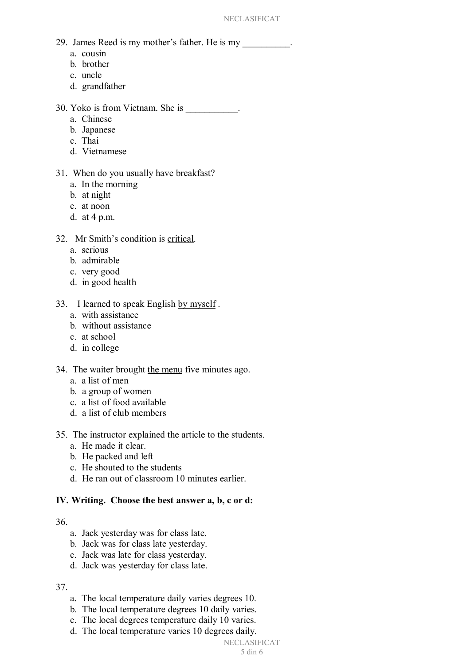- 29. James Reed is my mother's father. He is my
	- a. cousin
	- b. brother
	- c. uncle
	- d. grandfather
- 30. Yoko is from Vietnam. She is \_\_\_\_\_\_\_\_\_\_\_.
	- a. Chinese
	- b. Japanese
	- c. Thai
	- d. Vietnamese
- 31. When do you usually have breakfast?
	- a. In the morning
	- b. at night
	- c. at noon
	- d. at 4 p.m.
- 32. Mr Smith's condition is critical.
	- a. serious
	- b. admirable
	- c. very good
	- d. in good health
- 33. I learned to speak English by myself.
	- a. with assistance
	- b. without assistance
	- c. at school
	- d. in college

#### 34. The waiter brought the menu five minutes ago.

- a. a list of men
- b. a group of women
- c. a list of food available
- d. a list of club members
- 35. The instructor explained the article to the students.
	- a. He made it clear.
	- b. He packed and left
	- c. He shouted to the students
	- d. He ran out of classroom 10 minutes earlier.

#### **IV. Writing. Choose the best answer a, b, c or d:**

#### 36.

- a. Jack yesterday was for class late.
- b. Jack was for class late yesterday.
- c. Jack was late for class yesterday.
- d. Jack was yesterday for class late.

#### 37.

- a. The local temperature daily varies degrees 10.
- b. The local temperature degrees 10 daily varies.
- c. The local degrees temperature daily 10 varies.
- d. The local temperature varies 10 degrees daily.